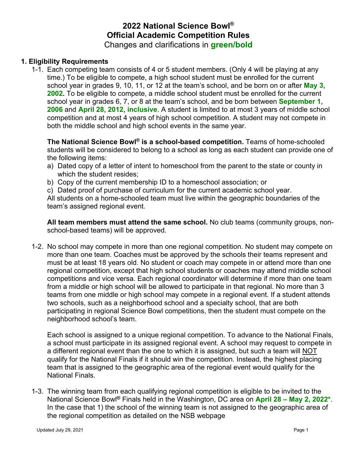# **2022 National Science Bowl® Official Academic Competition Rules** Changes and clarifications in **green/bold**

#### **1. Eligibility Requirements**

1-1. Each competing team consists of 4 or 5 student members. (Only 4 will be playing at any time.) To be eligible to compete, a high school student must be enrolled for the current school year in grades 9, 10, 11, or 12 at the team's school, and be born on or after **May 3, 2002.** To be eligible to compete, a middle school student must be enrolled for the current school year in grades 6, 7, or 8 at the team's school, and be born between **September 1, 2006** and **April 28, 2012, inclusive**. A student is limited to at most 3 years of middle school competition and at most 4 years of high school competition. A student may not compete in both the middle school and high school events in the same year.

**The National Science Bowl® is a school-based competition.** Teams of home-schooled students will be considered to belong to a school as long as each student can provide one of the following items:

- a) Dated copy of a letter of intent to homeschool from the parent to the state or county in which the student resides:
- b) Copy of the current membership ID to a homeschool association; or
- c) Dated proof of purchase of curriculum for the current academic school year.

All students on a home-schooled team must live within the geographic boundaries of the team's assigned regional event.

**All team members must attend the same school.** No club teams (community groups, nonschool-based teams) will be approved.

1-2. No school may compete in more than one regional competition. No student may compete on more than one team. Coaches must be approved by the schools their teams represent and must be at least 18 years old. No student or coach may compete in or attend more than one regional competition, except that high school students or coaches may attend middle school competitions and vice versa. Each regional coordinator will determine if more than one team from a middle or high school will be allowed to participate in that regional. No more than 3 teams from one middle or high school may compete in a regional event. If a student attends two schools, such as a neighborhood school and a specialty school, that are both participating in regional Science Bowl competitions, then the student must compete on the neighborhood school's team.

Each school is assigned to a unique regional competition. To advance to the National Finals, a school must participate in its assigned regional event. A school may request to compete in a different regional event than the one to which it is assigned, but such a team will NOT qualify for the National Finals if it should win the competition. Instead, the highest placing team that is assigned to the geographic area of the regional event would qualify for the National Finals.

1-3. The winning team from each qualifying regional competition is eligible to be invited to the National Science Bowl**®** Finals held in the Washington, DC area on **April 28 – May 2, 2022\***. In the case that 1) the school of the winning team is not assigned to the geographic area of the regional competition as detailed on the NSB webpage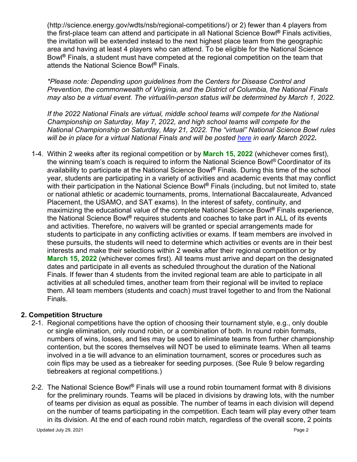(http://science.energy.gov/wdts/nsb/regional-competitions/) or 2) fewer than 4 players from the first-place team can attend and participate in all National Science Bowl**®** Finals activities, the invitation will be extended instead to the next highest place team from the geographic area and having at least 4 players who can attend. To be eligible for the National Science Bowl**®** Finals, a student must have competed at the regional competition on the team that attends the National Science Bowl**®** Finals.

*\*Please note: Depending upon guidelines from the Centers for Disease Control and Prevention, the commonwealth of Virginia, and the District of Columbia, the National Finals may also be a virtual event. The virtual/in-person status will be determined by March 1, 2022.* 

*If the 2022 National Finals are virtual, middle school teams will compete for the National Championship on Saturday, May 7, 2022, and high school teams will compete for the National Championship on Saturday, May 21, 2022. The "virtual" National Science Bowl rules will be in place for a virtual National Finals and will be posted [here](https://science.osti.gov/wdts/nsb/) in early March 2022.*

1-4. Within 2 weeks after its regional competition or by **March 15, 2022** (whichever comes first), the winning team's coach is required to inform the National Science Bowl® Coordinator of its availability to participate at the National Science Bowl**®** Finals. During this time of the school year, students are participating in a variety of activities and academic events that may conflict with their participation in the National Science Bowl**®** Finals (including, but not limited to, state or national athletic or academic tournaments, proms, International Baccalaureate, Advanced Placement, the USAMO, and SAT exams). In the interest of safety, continuity, and maximizing the educational value of the complete National Science Bowl**®** Finals experience, the National Science Bowl**®** requires students and coaches to take part in ALL of its events and activities. Therefore, no waivers will be granted or special arrangements made for students to participate in any conflicting activities or exams. If team members are involved in these pursuits, the students will need to determine which activities or events are in their best interests and make their selections within 2 weeks after their regional competition or by **March 15, 2022** (whichever comes first). All teams must arrive and depart on the designated dates and participate in all events as scheduled throughout the duration of the National Finals. If fewer than 4 students from the invited regional team are able to participate in all activities at all scheduled times, another team from their regional will be invited to replace them. All team members (students and coach) must travel together to and from the National Finals.

#### **2. Competition Structure**

- 2-1. Regional competitions have the option of choosing their tournament style, e.g., only double or single elimination, only round robin, or a combination of both. In round robin formats, numbers of wins, losses, and ties may be used to eliminate teams from further championship contention, but the scores themselves will NOT be used to eliminate teams. When all teams involved in a tie will advance to an elimination tournament, scores or procedures such as coin flips may be used as a tiebreaker for seeding purposes. (See Rule 9 below regarding tiebreakers at regional competitions.)
- 2-2. The National Science Bowl**®** Finals will use a round robin tournament format with 8 divisions for the preliminary rounds. Teams will be placed in divisions by drawing lots, with the number of teams per division as equal as possible. The number of teams in each division will depend on the number of teams participating in the competition. Each team will play every other team in its division. At the end of each round robin match, regardless of the overall score, 2 points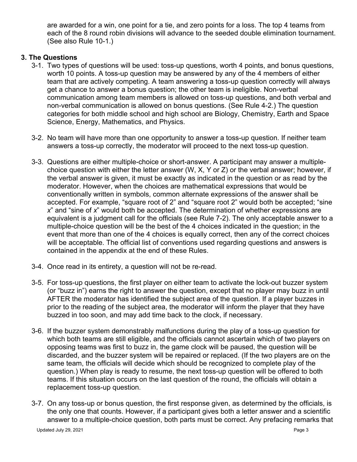are awarded for a win, one point for a tie, and zero points for a loss. The top 4 teams from each of the 8 round robin divisions will advance to the seeded double elimination tournament. (See also Rule 10-1.)

### **3. The Questions**

- 3-1. Two types of questions will be used: toss-up questions, worth 4 points, and bonus questions, worth 10 points. A toss-up question may be answered by any of the 4 members of either team that are actively competing. A team answering a toss-up question correctly will always get a chance to answer a bonus question; the other team is ineligible. Non-verbal communication among team members is allowed on toss-up questions, and both verbal and non-verbal communication is allowed on bonus questions. (See Rule 4-2.) The question categories for both middle school and high school are Biology, Chemistry, Earth and Space Science, Energy, Mathematics, and Physics.
- 3-2. No team will have more than one opportunity to answer a toss-up question. If neither team answers a toss-up correctly, the moderator will proceed to the next toss-up question.
- 3-3. Questions are either multiple-choice or short-answer. A participant may answer a multiplechoice question with either the letter answer (W, X, Y or Z) or the verbal answer; however, if the verbal answer is given, it must be exactly as indicated in the question or as read by the moderator. However, when the choices are mathematical expressions that would be conventionally written in symbols, common alternate expressions of the answer shall be accepted. For example, "square root of 2" and "square root 2" would both be accepted; "sine *x*" and "sine of *x*" would both be accepted. The determination of whether expressions are equivalent is a judgment call for the officials (see Rule 7-2). The only acceptable answer to a multiple-choice question will be the best of the 4 choices indicated in the question; in the event that more than one of the 4 choices is equally correct, then any of the correct choices will be acceptable. The official list of conventions used regarding questions and answers is contained in the appendix at the end of these Rules.
- 3-4. Once read in its entirety, a question will not be re-read.
- 3-5. For toss-up questions, the first player on either team to activate the lock-out buzzer system (or "buzz in") earns the right to answer the question, except that no player may buzz in until AFTER the moderator has identified the subject area of the question. If a player buzzes in prior to the reading of the subject area, the moderator will inform the player that they have buzzed in too soon, and may add time back to the clock, if necessary.
- 3-6. If the buzzer system demonstrably malfunctions during the play of a toss-up question for which both teams are still eligible, and the officials cannot ascertain which of two players on opposing teams was first to buzz in, the game clock will be paused, the question will be discarded, and the buzzer system will be repaired or replaced. (If the two players are on the same team, the officials will decide which should be recognized to complete play of the question.) When play is ready to resume, the next toss-up question will be offered to both teams. If this situation occurs on the last question of the round, the officials will obtain a replacement toss-up question.
- 3-7. On any toss-up or bonus question, the first response given, as determined by the officials, is the only one that counts. However, if a participant gives both a letter answer and a scientific answer to a multiple-choice question, both parts must be correct. Any prefacing remarks that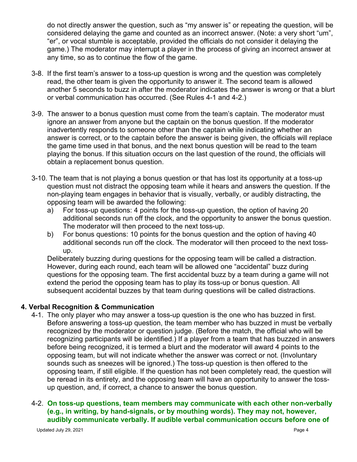do not directly answer the question, such as "my answer is" or repeating the question, will be considered delaying the game and counted as an incorrect answer. (Note: a very short "um", "er", or vocal stumble is acceptable, provided the officials do not consider it delaying the game.) The moderator may interrupt a player in the process of giving an incorrect answer at any time, so as to continue the flow of the game.

- 3-8. If the first team's answer to a toss-up question is wrong and the question was completely read, the other team is given the opportunity to answer it. The second team is allowed another 5 seconds to buzz in after the moderator indicates the answer is wrong or that a blurt or verbal communication has occurred. (See Rules 4-1 and 4-2.)
- 3-9. The answer to a bonus question must come from the team's captain. The moderator must ignore an answer from anyone but the captain on the bonus question. If the moderator inadvertently responds to someone other than the captain while indicating whether an answer is correct, or to the captain before the answer is being given, the officials will replace the game time used in that bonus, and the next bonus question will be read to the team playing the bonus. If this situation occurs on the last question of the round, the officials will obtain a replacement bonus question.
- 3-10. The team that is not playing a bonus question or that has lost its opportunity at a toss-up question must not distract the opposing team while it hears and answers the question. If the non-playing team engages in behavior that is visually, verbally, or audibly distracting**,** the opposing team will be awarded the following:
	- a) For toss-up questions: 4 points for the toss-up question, the option of having 20 additional seconds run off the clock, and the opportunity to answer the bonus question. The moderator will then proceed to the next toss-up.
	- b) For bonus questions: 10 points for the bonus question and the option of having 40 additional seconds run off the clock. The moderator will then proceed to the next tossup.

Deliberately buzzing during questions for the opposing team will be called a distraction. However, during each round, each team will be allowed one "accidental" buzz during questions for the opposing team. The first accidental buzz by a team during a game will not extend the period the opposing team has to play its toss-up or bonus question. All subsequent accidental buzzes by that team during questions will be called distractions.

#### **4. Verbal Recognition & Communication**

4-1. The only player who may answer a toss-up question is the one who has buzzed in first. Before answering a toss-up question, the team member who has buzzed in must be verbally recognized by the moderator or question judge. (Before the match, the official who will be recognizing participants will be identified.) If a player from a team that has buzzed in answers before being recognized, it is termed a blurt and the moderator will award 4 points to the opposing team, but will not indicate whether the answer was correct or not. (Involuntary sounds such as sneezes will be ignored.) The toss-up question is then offered to the opposing team, if still eligible. If the question has not been completely read, the question will be reread in its entirety, and the opposing team will have an opportunity to answer the tossup question, and, if correct, a chance to answer the bonus question.

### 4-2. **On toss-up questions, team members may communicate with each other non-verbally (e.g., in writing, by hand-signals, or by mouthing words). They may not, however, audibly communicate verbally. If audible verbal communication occurs before one of**

Updated July 29, 2021 **Page 4**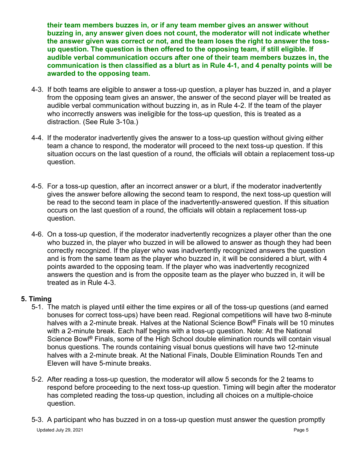**their team members buzzes in, or if any team member gives an answer without buzzing in, any answer given does not count, the moderator will not indicate whether the answer given was correct or not, and the team loses the right to answer the tossup question. The question is then offered to the opposing team, if still eligible. If audible verbal communication occurs after one of their team members buzzes in, the communication is then classified as a blurt as in Rule 4-1, and 4 penalty points will be awarded to the opposing team.**

- 4-3. If both teams are eligible to answer a toss-up question, a player has buzzed in, and a player from the opposing team gives an answer, the answer of the second player will be treated as audible verbal communication without buzzing in, as in Rule 4-2. If the team of the player who incorrectly answers was ineligible for the toss-up question, this is treated as a distraction. (See Rule 3-10a.)
- 4-4. If the moderator inadvertently gives the answer to a toss-up question without giving either team a chance to respond, the moderator will proceed to the next toss-up question. If this situation occurs on the last question of a round, the officials will obtain a replacement toss-up question.
- 4-5. For a toss-up question, after an incorrect answer or a blurt, if the moderator inadvertently gives the answer before allowing the second team to respond, the next toss-up question will be read to the second team in place of the inadvertently-answered question. If this situation occurs on the last question of a round, the officials will obtain a replacement toss-up question.
- 4-6. On a toss-up question, if the moderator inadvertently recognizes a player other than the one who buzzed in, the player who buzzed in will be allowed to answer as though they had been correctly recognized. If the player who was inadvertently recognized answers the question and is from the same team as the player who buzzed in, it will be considered a blurt, with 4 points awarded to the opposing team. If the player who was inadvertently recognized answers the question and is from the opposite team as the player who buzzed in, it will be treated as in Rule 4-3.

## **5. Timing**

- 5-1. The match is played until either the time expires or all of the toss-up questions (and earned bonuses for correct toss-ups) have been read. Regional competitions will have two 8-minute halves with a 2-minute break. Halves at the National Science Bowl**®** Finals will be 10 minutes with a 2-minute break. Each half begins with a toss-up question. Note: At the National Science Bowl**®** Finals, some of the High School double elimination rounds will contain visual bonus questions. The rounds containing visual bonus questions will have two 12-minute halves with a 2-minute break. At the National Finals, Double Elimination Rounds Ten and Eleven will have 5-minute breaks.
- 5-2. After reading a toss-up question, the moderator will allow 5 seconds for the 2 teams to respond before proceeding to the next toss-up question. Timing will begin after the moderator has completed reading the toss-up question, including all choices on a multiple-choice question.
- Updated July 29, 2021 **Page 5** 5-3. A participant who has buzzed in on a toss-up question must answer the question promptly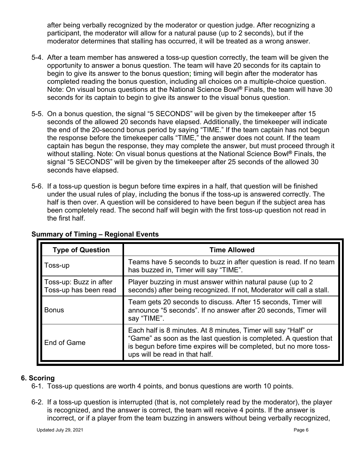after being verbally recognized by the moderator or question judge. After recognizing a participant, the moderator will allow for a natural pause (up to 2 seconds), but if the moderator determines that stalling has occurred, it will be treated as a wrong answer.

- 5-4. After a team member has answered a toss-up question correctly, the team will be given the opportunity to answer a bonus question. The team will have 20 seconds for its captain to begin to give its answer to the bonus question**;** timing will begin after the moderator has completed reading the bonus question, including all choices on a multiple-choice question. Note: On visual bonus questions at the National Science Bowl**®** Finals, the team will have 30 seconds for its captain to begin to give its answer to the visual bonus question.
- 5-5. On a bonus question, the signal "5 SECONDS" will be given by the timekeeper after 15 seconds of the allowed 20 seconds have elapsed. Additionally, the timekeeper will indicate the end of the 20-second bonus period by saying "TIME." If the team captain has not begun the response before the timekeeper calls "TIME," the answer does not count. If the team captain has begun the response, they may complete the answer, but must proceed through it without stalling. Note: On visual bonus questions at the National Science Bowl**®** Finals, the signal "5 SECONDS" will be given by the timekeeper after 25 seconds of the allowed 30 seconds have elapsed.
- 5-6. If a toss-up question is begun before time expires in a half, that question will be finished under the usual rules of play, including the bonus if the toss-up is answered correctly. The half is then over. A question will be considered to have been begun if the subject area has been completely read. The second half will begin with the first toss-up question not read in the first half.

| <b>Type of Question</b>                         | <b>Time Allowed</b>                                                                                                                                                                                                                        |
|-------------------------------------------------|--------------------------------------------------------------------------------------------------------------------------------------------------------------------------------------------------------------------------------------------|
| Toss-up                                         | Teams have 5 seconds to buzz in after question is read. If no team<br>has buzzed in, Timer will say "TIME".                                                                                                                                |
| Toss-up: Buzz in after<br>Toss-up has been read | Player buzzing in must answer within natural pause (up to 2)<br>seconds) after being recognized. If not, Moderator will call a stall.                                                                                                      |
| <b>Bonus</b>                                    | Team gets 20 seconds to discuss. After 15 seconds, Timer will<br>announce "5 seconds". If no answer after 20 seconds, Timer will<br>say "TIME".                                                                                            |
| End of Game                                     | Each half is 8 minutes. At 8 minutes, Timer will say "Half" or<br>"Game" as soon as the last question is completed. A question that<br>is begun before time expires will be completed, but no more toss-<br>ups will be read in that half. |

## **Summary of Timing – Regional Events**

#### **6. Scoring**

- 6-1. Toss-up questions are worth 4 points, and bonus questions are worth 10 points.
- 6-2. If a toss-up question is interrupted (that is, not completely read by the moderator), the player is recognized, and the answer is correct, the team will receive 4 points. If the answer is incorrect, or if a player from the team buzzing in answers without being verbally recognized,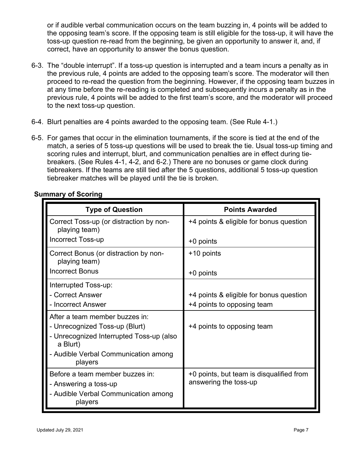or if audible verbal communication occurs on the team buzzing in, 4 points will be added to the opposing team's score. If the opposing team is still eligible for the toss-up, it will have the toss-up question re-read from the beginning, be given an opportunity to answer it, and, if correct, have an opportunity to answer the bonus question.

- 6-3. The "double interrupt". If a toss-up question is interrupted and a team incurs a penalty as in the previous rule, 4 points are added to the opposing team's score. The moderator will then proceed to re-read the question from the beginning. However, if the opposing team buzzes in at any time before the re-reading is completed and subsequently incurs a penalty as in the previous rule, 4 points will be added to the first team's score, and the moderator will proceed to the next toss-up question.
- 6-4. Blurt penalties are 4 points awarded to the opposing team. (See Rule 4-1.)
- 6-5. For games that occur in the elimination tournaments, if the score is tied at the end of the match, a series of 5 toss-up questions will be used to break the tie. Usual toss-up timing and scoring rules and interrupt, blurt, and communication penalties are in effect during tiebreakers. (See Rules 4-1, 4-2, and 6-2.) There are no bonuses or game clock during tiebreakers. If the teams are still tied after the 5 questions, additional 5 toss-up question tiebreaker matches will be played until the tie is broken.

| <b>Type of Question</b>                                                                                                  | <b>Points Awarded</b>                                             |
|--------------------------------------------------------------------------------------------------------------------------|-------------------------------------------------------------------|
| Correct Toss-up (or distraction by non-<br>playing team)                                                                 | +4 points & eligible for bonus question                           |
| <b>Incorrect Toss-up</b>                                                                                                 | +0 points                                                         |
| Correct Bonus (or distraction by non-<br>playing team)                                                                   | +10 points                                                        |
| <b>Incorrect Bonus</b>                                                                                                   | +0 points                                                         |
| Interrupted Toss-up:<br>- Correct Answer                                                                                 | +4 points & eligible for bonus question                           |
| - Incorrect Answer                                                                                                       | +4 points to opposing team                                        |
| After a team member buzzes in:<br>- Unrecognized Toss-up (Blurt)<br>- Unrecognized Interrupted Toss-up (also<br>a Blurt) | +4 points to opposing team                                        |
| - Audible Verbal Communication among<br>players                                                                          |                                                                   |
| Before a team member buzzes in:<br>- Answering a toss-up<br>- Audible Verbal Communication among<br>players              | +0 points, but team is disqualified from<br>answering the toss-up |

## **Summary of Scoring**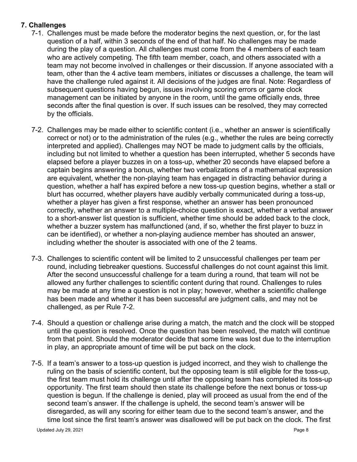## **7. Challenges**

- 7-1. Challenges must be made before the moderator begins the next question, or, for the last question of a half, within 3 seconds of the end of that half. No challenges may be made during the play of a question. All challenges must come from the 4 members of each team who are actively competing. The fifth team member, coach, and others associated with a team may not become involved in challenges or their discussion. If anyone associated with a team, other than the 4 active team members, initiates or discusses a challenge, the team will have the challenge ruled against it. All decisions of the judges are final. Note: Regardless of subsequent questions having begun, issues involving scoring errors or game clock management can be initiated by anyone in the room, until the game officially ends, three seconds after the final question is over. If such issues can be resolved, they may corrected by the officials.
- 7-2. Challenges may be made either to scientific content (i.e., whether an answer is scientifically correct or not) or to the administration of the rules (e.g., whether the rules are being correctly interpreted and applied). Challenges may NOT be made to judgment calls by the officials, including but not limited to whether a question has been interrupted, whether 5 seconds have elapsed before a player buzzes in on a toss-up, whether 20 seconds have elapsed before a captain begins answering a bonus, whether two verbalizations of a mathematical expression are equivalent, whether the non-playing team has engaged in distracting behavior during a question, whether a half has expired before a new toss-up question begins, whether a stall or blurt has occurred, whether players have audibly verbally communicated during a toss-up, whether a player has given a first response, whether an answer has been pronounced correctly, whether an answer to a multiple-choice question is exact, whether a verbal answer to a short-answer list question is sufficient, whether time should be added back to the clock, whether a buzzer system has malfunctioned (and, if so, whether the first player to buzz in can be identified), or whether a non-playing audience member has shouted an answer, including whether the shouter is associated with one of the 2 teams.
- 7-3. Challenges to scientific content will be limited to 2 unsuccessful challenges per team per round, including tiebreaker questions. Successful challenges do not count against this limit. After the second unsuccessful challenge for a team during a round, that team will not be allowed any further challenges to scientific content during that round. Challenges to rules may be made at any time a question is not in play; however, whether a scientific challenge has been made and whether it has been successful are judgment calls, and may not be challenged, as per Rule 7-2.
- 7-4. Should a question or challenge arise during a match, the match and the clock will be stopped until the question is resolved. Once the question has been resolved, the match will continue from that point. Should the moderator decide that some time was lost due to the interruption in play, an appropriate amount of time will be put back on the clock.
- 7-5. If a team's answer to a toss-up question is judged incorrect, and they wish to challenge the ruling on the basis of scientific content, but the opposing team is still eligible for the toss-up, the first team must hold its challenge until after the opposing team has completed its toss-up opportunity. The first team should then state its challenge before the next bonus or toss-up question is begun. If the challenge is denied, play will proceed as usual from the end of the second team's answer. If the challenge is upheld, the second team's answer will be disregarded, as will any scoring for either team due to the second team's answer, and the time lost since the first team's answer was disallowed will be put back on the clock. The first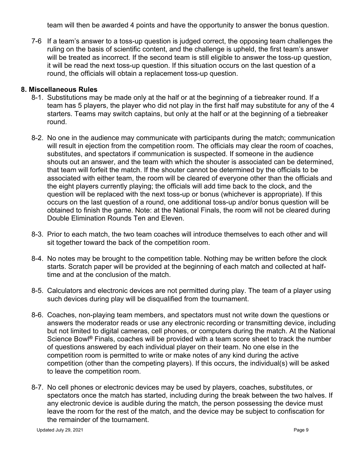team will then be awarded 4 points and have the opportunity to answer the bonus question.

7-6 If a team's answer to a toss-up question is judged correct, the opposing team challenges the ruling on the basis of scientific content, and the challenge is upheld, the first team's answer will be treated as incorrect. If the second team is still eligible to answer the toss-up question, it will be read the next toss-up question. If this situation occurs on the last question of a round, the officials will obtain a replacement toss-up question.

#### **8. Miscellaneous Rules**

- 8-1. Substitutions may be made only at the half or at the beginning of a tiebreaker round. If a team has 5 players, the player who did not play in the first half may substitute for any of the 4 starters. Teams may switch captains, but only at the half or at the beginning of a tiebreaker round.
- 8-2. No one in the audience may communicate with participants during the match; communication will result in ejection from the competition room. The officials may clear the room of coaches, substitutes, and spectators if communication is suspected. If someone in the audience shouts out an answer, and the team with which the shouter is associated can be determined, that team will forfeit the match. If the shouter cannot be determined by the officials to be associated with either team, the room will be cleared of everyone other than the officials and the eight players currently playing; the officials will add time back to the clock, and the question will be replaced with the next toss-up or bonus (whichever is appropriate). If this occurs on the last question of a round, one additional toss-up and/or bonus question will be obtained to finish the game. Note: at the National Finals, the room will not be cleared during Double Elimination Rounds Ten and Eleven.
- 8-3. Prior to each match, the two team coaches will introduce themselves to each other and will sit together toward the back of the competition room.
- 8-4. No notes may be brought to the competition table. Nothing may be written before the clock starts. Scratch paper will be provided at the beginning of each match and collected at halftime and at the conclusion of the match.
- 8-5. Calculators and electronic devices are not permitted during play. The team of a player using such devices during play will be disqualified from the tournament.
- 8-6. Coaches, non-playing team members, and spectators must not write down the questions or answers the moderator reads or use any electronic recording or transmitting device, including but not limited to digital cameras, cell phones, or computers during the match. At the National Science Bowl**®** Finals, coaches will be provided with a team score sheet to track the number of questions answered by each individual player on their team. No one else in the competition room is permitted to write or make notes of any kind during the active competition (other than the competing players). If this occurs, the individual(s) will be asked to leave the competition room.
- 8-7. No cell phones or electronic devices may be used by players, coaches, substitutes, or spectators once the match has started, including during the break between the two halves. If any electronic device is audible during the match, the person possessing the device must leave the room for the rest of the match, and the device may be subject to confiscation for the remainder of the tournament.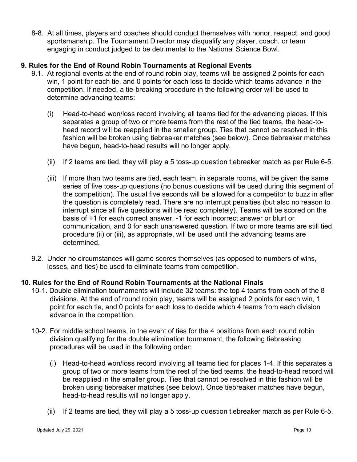8-8. At all times, players and coaches should conduct themselves with honor, respect, and good sportsmanship. The Tournament Director may disqualify any player, coach, or team engaging in conduct judged to be detrimental to the National Science Bowl.

## **9. Rules for the End of Round Robin Tournaments at Regional Events**

- 9.1. At regional events at the end of round robin play, teams will be assigned 2 points for each win, 1 point for each tie, and 0 points for each loss to decide which teams advance in the competition. If needed, a tie-breaking procedure in the following order will be used to determine advancing teams:
	- (i) Head-to-head won/loss record involving all teams tied for the advancing places. If this separates a group of two or more teams from the rest of the tied teams, the head-tohead record will be reapplied in the smaller group. Ties that cannot be resolved in this fashion will be broken using tiebreaker matches (see below). Once tiebreaker matches have begun, head-to-head results will no longer apply.
	- (ii) If 2 teams are tied, they will play a 5 toss-up question tiebreaker match as per Rule 6-5.
	- (iii) If more than two teams are tied, each team, in separate rooms, will be given the same series of five toss-up questions (no bonus questions will be used during this segment of the competition). The usual five seconds will be allowed for a competitor to buzz in after the question is completely read. There are no interrupt penalties (but also no reason to interrupt since all five questions will be read completely). Teams will be scored on the basis of +1 for each correct answer, -1 for each incorrect answer or blurt or communication, and 0 for each unanswered question. If two or more teams are still tied, procedure (ii) or (iii), as appropriate, will be used until the advancing teams are determined.
- 9.2. Under no circumstances will game scores themselves (as opposed to numbers of wins, losses, and ties) be used to eliminate teams from competition.

#### **10. Rules for the End of Round Robin Tournaments at the National Finals**

- 10-1. Double elimination tournaments will include 32 teams: the top 4 teams from each of the 8 divisions. At the end of round robin play, teams will be assigned 2 points for each win, 1 point for each tie, and 0 points for each loss to decide which 4 teams from each division advance in the competition.
- 10-2. For middle school teams, in the event of ties for the 4 positions from each round robin division qualifying for the double elimination tournament, the following tiebreaking procedures will be used in the following order:
	- (i) Head-to-head won/loss record involving all teams tied for places 1-4. If this separates a group of two or more teams from the rest of the tied teams, the head-to-head record will be reapplied in the smaller group. Ties that cannot be resolved in this fashion will be broken using tiebreaker matches (see below). Once tiebreaker matches have begun, head-to-head results will no longer apply.
	- (ii) If 2 teams are tied, they will play a 5 toss-up question tiebreaker match as per Rule 6-5.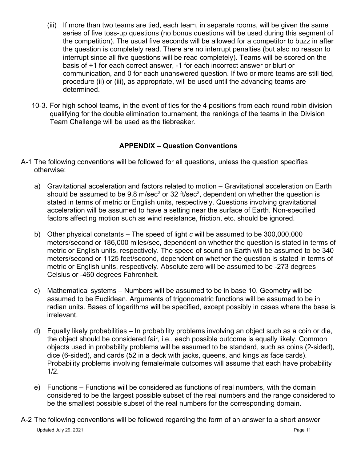- (iii) If more than two teams are tied, each team, in separate rooms, will be given the same series of five toss-up questions (no bonus questions will be used during this segment of the competition). The usual five seconds will be allowed for a competitor to buzz in after the question is completely read. There are no interrupt penalties (but also no reason to interrupt since all five questions will be read completely). Teams will be scored on the basis of +1 for each correct answer, -1 for each incorrect answer or blurt or communication, and 0 for each unanswered question. If two or more teams are still tied, procedure (ii) or (iii), as appropriate, will be used until the advancing teams are determined.
- 10-3. For high school teams, in the event of ties for the 4 positions from each round robin division qualifying for the double elimination tournament, the rankings of the teams in the Division Team Challenge will be used as the tiebreaker.

## **APPENDIX – Question Conventions**

- A-1 The following conventions will be followed for all questions, unless the question specifies otherwise:
	- a) Gravitational acceleration and factors related to motion Gravitational acceleration on Earth should be assumed to be  $9.8 \text{ m/sec}^2$  or 32 ft/sec<sup>2</sup>, dependent on whether the question is stated in terms of metric or English units, respectively. Questions involving gravitational acceleration will be assumed to have a setting near the surface of Earth. Non-specified factors affecting motion such as wind resistance, friction, etc. should be ignored.
	- b) Other physical constants The speed of light *c* will be assumed to be 300,000,000 meters/second or 186,000 miles/sec, dependent on whether the question is stated in terms of metric or English units, respectively. The speed of sound on Earth will be assumed to be 340 meters/second or 1125 feet/second, dependent on whether the question is stated in terms of metric or English units, respectively. Absolute zero will be assumed to be -273 degrees Celsius or -460 degrees Fahrenheit.
	- c) Mathematical systems Numbers will be assumed to be in base 10. Geometry will be assumed to be Euclidean. Arguments of trigonometric functions will be assumed to be in radian units. Bases of logarithms will be specified, except possibly in cases where the base is irrelevant.
	- d) Equally likely probabilities In probability problems involving an object such as a coin or die, the object should be considered fair, i.e., each possible outcome is equally likely. Common objects used in probability problems will be assumed to be standard, such as coins (2-sided), dice (6-sided), and cards (52 in a deck with jacks, queens, and kings as face cards). Probability problems involving female/male outcomes will assume that each have probability 1/2.
	- e) Functions Functions will be considered as functions of real numbers, with the domain considered to be the largest possible subset of the real numbers and the range considered to be the smallest possible subset of the real numbers for the corresponding domain.
- Updated July 29, 2021 **Page 11** Page 11 **Page 11** Page 11 A-2 The following conventions will be followed regarding the form of an answer to a short answer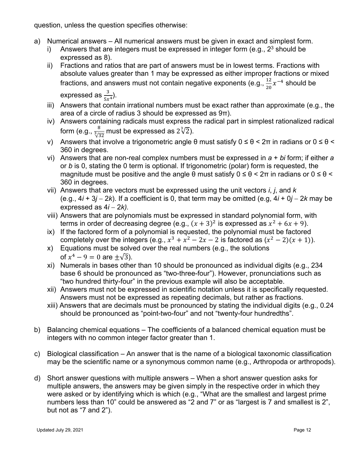question, unless the question specifies otherwise:

- a) Numerical answers All numerical answers must be given in exact and simplest form.
	- i) Answers that are integers must be expressed in integer form  $(e.g., 2<sup>3</sup>$  should be expressed as 8).
	- ii) Fractions and ratios that are part of answers must be in lowest terms. Fractions with absolute values greater than 1 may be expressed as either improper fractions or mixed fractions, and answers must not contain negative exponents (e.g.,  $\frac{12}{20}x^{-4}$  should be expressed as  $\frac{3}{5x^4}$ ).
	- iii) Answers that contain irrational numbers must be exact rather than approximate (e.g., the area of a circle of radius 3 should be expressed as 9π).
	- iv) Answers containing radicals must express the radical part in simplest rationalized radical form (e.g.,  $\frac{8}{\sqrt[3]{32}}$  must be expressed as 2 $\sqrt[3]{2}$ ).
	- v) Answers that involve a trigonometric angle  $θ$  must satisfy  $0 ≤ θ < 2π$  in radians or  $0 ≤ θ <$ 360 in degrees.
	- vi) Answers that are non-real complex numbers must be expressed in *a* + *bi* form; if either *a* or *b* is 0, stating the 0 term is optional. If trigonometric (polar) form is requested, the magnitude must be positive and the angle  $\theta$  must satisfy  $0 \le \theta \le 2\pi$  in radians or  $0 \le \theta \le$ 360 in degrees.
	- vii) Answers that are vectors must be expressed using the unit vectors *i*, *j*, and *k* (e.g., 4*i* + 3*j* − 2*k*). If a coefficient is 0, that term may be omitted (e.g, 4*i* + 0*j* − 2*k* may be expressed as 4*i* − 2*k).*
	- viii) Answers that are polynomials must be expressed in standard polynomial form, with terms in order of decreasing degree (e.g.,  $(x + 3)^2$  is expressed as  $x^2 + 6x + 9$ ).
	- ix) If the factored form of a polynomial is requested, the polynomial must be factored completely over the integers (e.g.,  $x^3 + x^2 - 2x - 2$  is factored as  $(x^2 - 2)(x + 1)$ ).
	- x) Equations must be solved over the real numbers (e.g., the solutions of  $x^4 - 9 = 0$  are  $+\sqrt{3}$ ).
	- xi) Numerals in bases other than 10 should be pronounced as individual digits (e.g., 234 base 6 should be pronounced as "two-three-four"). However, pronunciations such as "two hundred thirty-four" in the previous example will also be acceptable.
	- xii) Answers must not be expressed in scientific notation unless it is specifically requested. Answers must not be expressed as repeating decimals, but rather as fractions.
	- xiii) Answers that are decimals must be pronounced by stating the individual digits (e.g., 0.24 should be pronounced as "point-two-four" and not "twenty-four hundredths".
- b) Balancing chemical equations The coefficients of a balanced chemical equation must be integers with no common integer factor greater than 1.
- c) Biological classification An answer that is the name of a biological taxonomic classification may be the scientific name or a synonymous common name (e.g., Arthropoda or arthropods).
- d) Short answer questions with multiple answers When a short answer question asks for multiple answers, the answers may be given simply in the respective order in which they were asked or by identifying which is which (e.g., "What are the smallest and largest prime numbers less than 10" could be answered as "2 and 7" or as "largest is 7 and smallest is 2", but not as "7 and 2").